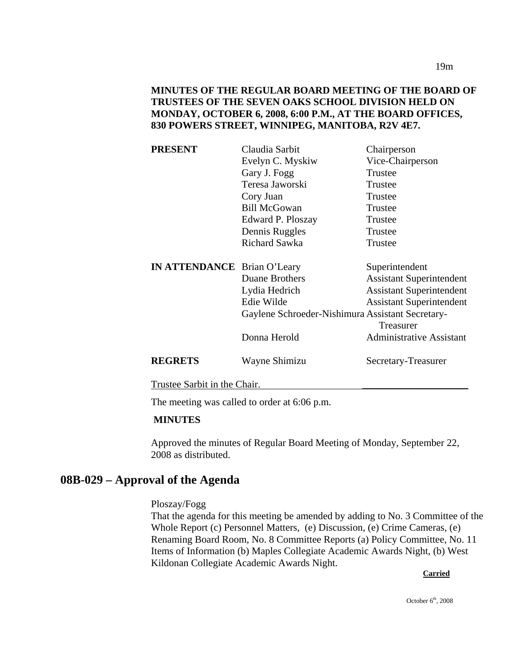| Claudia Sarbit                                   | Chairperson                     |
|--------------------------------------------------|---------------------------------|
| Evelyn C. Myskiw                                 | Vice-Chairperson                |
| Gary J. Fogg                                     | Trustee                         |
| Teresa Jaworski                                  | Trustee                         |
| Cory Juan                                        | Trustee                         |
| <b>Bill McGowan</b>                              | Trustee                         |
| Edward P. Ploszay                                | Trustee                         |
| Dennis Ruggles                                   | Trustee                         |
| <b>Richard Sawka</b>                             | Trustee                         |
|                                                  |                                 |
| <b>IN ATTENDANCE</b> Brian O'Leary               | Superintendent                  |
| Duane Brothers                                   | <b>Assistant Superintendent</b> |
| Lydia Hedrich                                    | <b>Assistant Superintendent</b> |
| Edie Wilde                                       | <b>Assistant Superintendent</b> |
| Gaylene Schroeder-Nishimura Assistant Secretary- | Treasurer                       |
| Donna Herold                                     | Administrative Assistant        |
| Wayne Shimizu                                    | Secretary-Treasurer             |
|                                                  |                                 |

Trustee Sarbit in the Chair.

The meeting was called to order at 6:06 p.m.

## **MINUTES**

Approved the minutes of Regular Board Meeting of Monday, September 22, 2008 as distributed.

# **08B-029 – Approval of the Agenda**

## Ploszay/Fogg

That the agenda for this meeting be amended by adding to No. 3 Committee of the Whole Report (c) Personnel Matters, (e) Discussion, (e) Crime Cameras, (e) Renaming Board Room, No. 8 Committee Reports (a) Policy Committee, No. 11 Items of Information (b) Maples Collegiate Academic Awards Night, (b) West Kildonan Collegiate Academic Awards Night. **Carried** 

October  $6<sup>th</sup>$ , 2008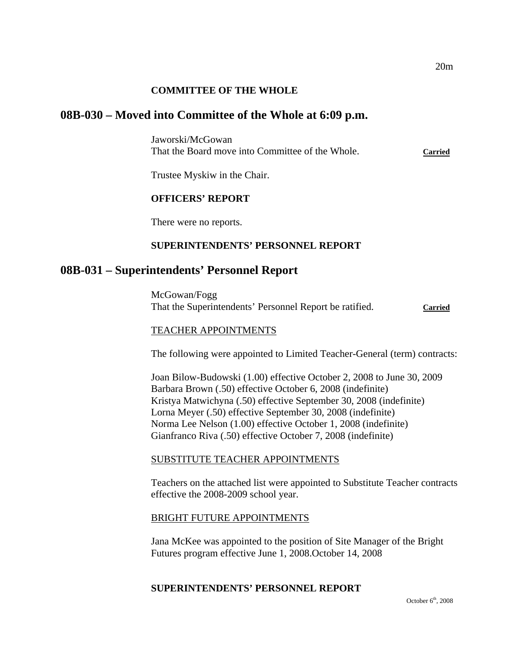## **COMMITTEE OF THE WHOLE**

## **08B-030 – Moved into Committee of the Whole at 6:09 p.m.**

Jaworski/McGowan That the Board move into Committee of the Whole. **Carried**

Trustee Myskiw in the Chair.

## **OFFICERS' REPORT**

There were no reports.

## **SUPERINTENDENTS' PERSONNEL REPORT**

## **08B-031 – Superintendents' Personnel Report**

McGowan/Fogg That the Superintendents' Personnel Report be ratified. **Carried**

#### TEACHER APPOINTMENTS

The following were appointed to Limited Teacher-General (term) contracts:

Joan Bilow-Budowski (1.00) effective October 2, 2008 to June 30, 2009 Barbara Brown (.50) effective October 6, 2008 (indefinite) Kristya Matwichyna (.50) effective September 30, 2008 (indefinite) Lorna Meyer (.50) effective September 30, 2008 (indefinite) Norma Lee Nelson (1.00) effective October 1, 2008 (indefinite) Gianfranco Riva (.50) effective October 7, 2008 (indefinite)

### SUBSTITUTE TEACHER APPOINTMENTS

Teachers on the attached list were appointed to Substitute Teacher contracts effective the 2008-2009 school year.

### BRIGHT FUTURE APPOINTMENTS

Jana McKee was appointed to the position of Site Manager of the Bright Futures program effective June 1, 2008.October 14, 2008

### **SUPERINTENDENTS' PERSONNEL REPORT**

October  $6<sup>th</sup>$ , 2008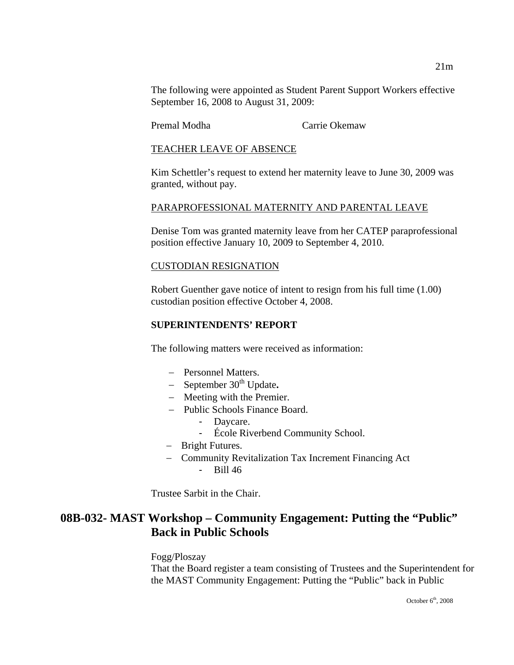The following were appointed as Student Parent Support Workers effective September 16, 2008 to August 31, 2009:

Premal Modha Carrie Okemaw

### TEACHER LEAVE OF ABSENCE

Kim Schettler's request to extend her maternity leave to June 30, 2009 was granted, without pay.

## PARAPROFESSIONAL MATERNITY AND PARENTAL LEAVE

Denise Tom was granted maternity leave from her CATEP paraprofessional position effective January 10, 2009 to September 4, 2010.

### CUSTODIAN RESIGNATION

Robert Guenther gave notice of intent to resign from his full time (1.00) custodian position effective October 4, 2008.

## **SUPERINTENDENTS' REPORT**

The following matters were received as information:

- − Personnel Matters.
- − September 30th Update**.**
- − Meeting with the Premier.
- − Public Schools Finance Board.
	- Daycare.
	- École Riverbend Community School.
- − Bright Futures.
- − Community Revitalization Tax Increment Financing Act - Bill 46

Trustee Sarbit in the Chair.

# **08B-032- MAST Workshop – Community Engagement: Putting the "Public" Back in Public Schools**

Fogg/Ploszay That the Board register a team consisting of Trustees and the Superintendent for the MAST Community Engagement: Putting the "Public" back in Public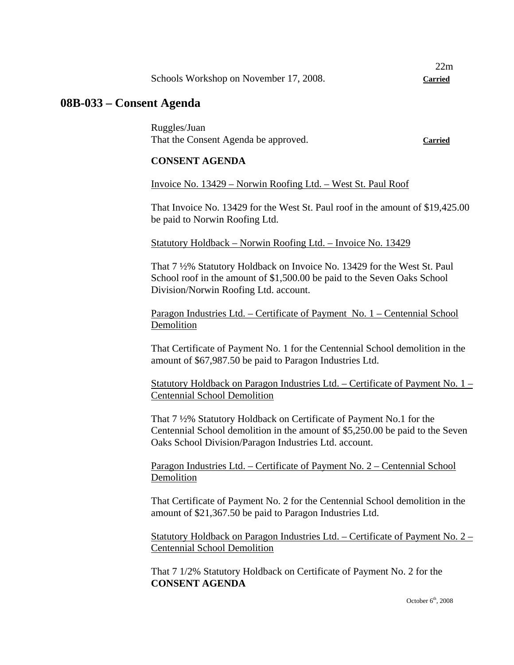| Schools Workshop on November 17, 2008. | <b>Carried</b> |
|----------------------------------------|----------------|
|----------------------------------------|----------------|

## **08B-033 – Consent Agenda**

Ruggles/Juan That the Consent Agenda be approved. **Carried**

22m

#### **CONSENT AGENDA**

#### Invoice No. 13429 – Norwin Roofing Ltd. – West St. Paul Roof

That Invoice No. 13429 for the West St. Paul roof in the amount of \$19,425.00 be paid to Norwin Roofing Ltd.

Statutory Holdback – Norwin Roofing Ltd. – Invoice No. 13429

That 7 ½% Statutory Holdback on Invoice No. 13429 for the West St. Paul School roof in the amount of \$1,500.00 be paid to the Seven Oaks School Division/Norwin Roofing Ltd. account.

Paragon Industries Ltd. – Certificate of Payment No. 1 – Centennial School Demolition

That Certificate of Payment No. 1 for the Centennial School demolition in the amount of \$67,987.50 be paid to Paragon Industries Ltd.

Statutory Holdback on Paragon Industries Ltd. – Certificate of Payment No. 1 – Centennial School Demolition

That 7 ½% Statutory Holdback on Certificate of Payment No.1 for the Centennial School demolition in the amount of \$5,250.00 be paid to the Seven Oaks School Division/Paragon Industries Ltd. account.

Paragon Industries Ltd. – Certificate of Payment No. 2 – Centennial School Demolition

That Certificate of Payment No. 2 for the Centennial School demolition in the amount of \$21,367.50 be paid to Paragon Industries Ltd.

Statutory Holdback on Paragon Industries Ltd. – Certificate of Payment No. 2 – Centennial School Demolition

That 7 1/2% Statutory Holdback on Certificate of Payment No. 2 for the **CONSENT AGENDA**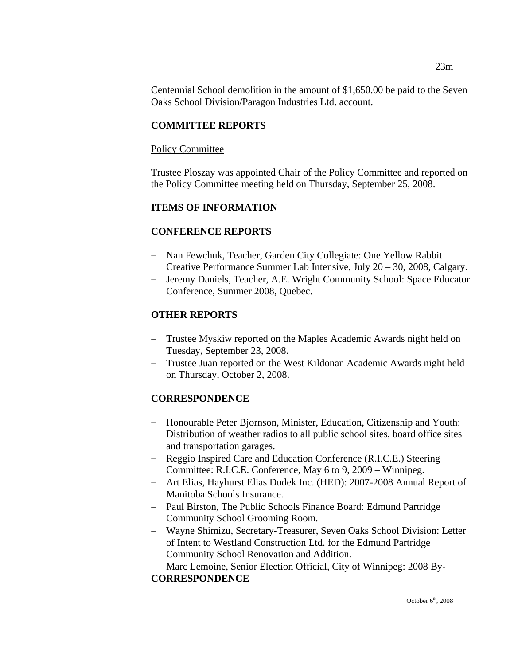Centennial School demolition in the amount of \$1,650.00 be paid to the Seven Oaks School Division/Paragon Industries Ltd. account.

## **COMMITTEE REPORTS**

### Policy Committee

Trustee Ploszay was appointed Chair of the Policy Committee and reported on the Policy Committee meeting held on Thursday, September 25, 2008.

## **ITEMS OF INFORMATION**

## **CONFERENCE REPORTS**

- − Nan Fewchuk, Teacher, Garden City Collegiate: One Yellow Rabbit Creative Performance Summer Lab Intensive, July 20 – 30, 2008, Calgary.
- − Jeremy Daniels, Teacher, A.E. Wright Community School: Space Educator Conference, Summer 2008, Quebec.

## **OTHER REPORTS**

- − Trustee Myskiw reported on the Maples Academic Awards night held on Tuesday, September 23, 2008.
- − Trustee Juan reported on the West Kildonan Academic Awards night held on Thursday, October 2, 2008.

## **CORRESPONDENCE**

- − Honourable Peter Bjornson, Minister, Education, Citizenship and Youth: Distribution of weather radios to all public school sites, board office sites and transportation garages.
- − Reggio Inspired Care and Education Conference (R.I.C.E.) Steering Committee: R.I.C.E. Conference, May 6 to 9, 2009 – Winnipeg.
- − Art Elias, Hayhurst Elias Dudek Inc. (HED): 2007-2008 Annual Report of Manitoba Schools Insurance.
- − Paul Birston, The Public Schools Finance Board: Edmund Partridge Community School Grooming Room.
- − Wayne Shimizu, Secretary-Treasurer, Seven Oaks School Division: Letter of Intent to Westland Construction Ltd. for the Edmund Partridge Community School Renovation and Addition.
- − Marc Lemoine, Senior Election Official, City of Winnipeg: 2008 By-**CORRESPONDENCE**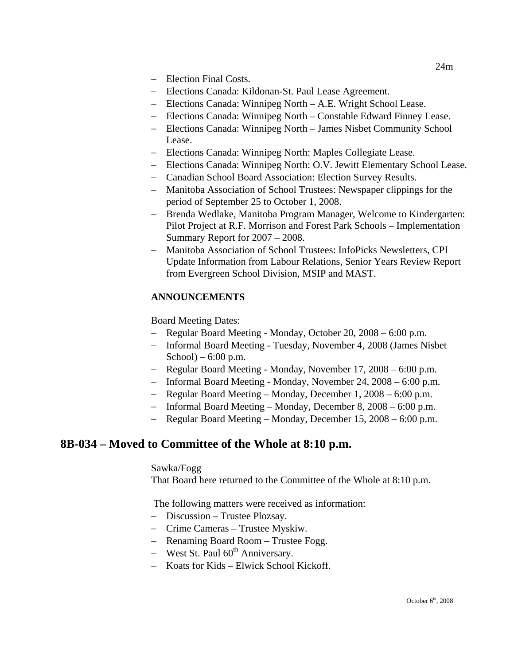- − Election Final Costs.
- − Elections Canada: Kildonan-St. Paul Lease Agreement.
- − Elections Canada: Winnipeg North A.E. Wright School Lease.
- − Elections Canada: Winnipeg North Constable Edward Finney Lease.
- − Elections Canada: Winnipeg North James Nisbet Community School Lease.
- − Elections Canada: Winnipeg North: Maples Collegiate Lease.
- − Elections Canada: Winnipeg North: O.V. Jewitt Elementary School Lease.
- − Canadian School Board Association: Election Survey Results.
- − Manitoba Association of School Trustees: Newspaper clippings for the period of September 25 to October 1, 2008.
- − Brenda Wedlake, Manitoba Program Manager, Welcome to Kindergarten: Pilot Project at R.F. Morrison and Forest Park Schools – Implementation Summary Report for 2007 – 2008.
- − Manitoba Association of School Trustees: InfoPicks Newsletters, CPI Update Information from Labour Relations, Senior Years Review Report from Evergreen School Division, MSIP and MAST.

## **ANNOUNCEMENTS**

Board Meeting Dates:

- − Regular Board Meeting Monday, October 20, 2008 6:00 p.m.
- − Informal Board Meeting Tuesday, November 4, 2008 (James Nisbet School $) - 6:00$  p.m.
- − Regular Board Meeting Monday, November 17, 2008 6:00 p.m.
- − Informal Board Meeting Monday, November 24, 2008 6:00 p.m.
- − Regular Board Meeting Monday, December 1, 2008 6:00 p.m.
- − Informal Board Meeting Monday, December 8, 2008 6:00 p.m.
- − Regular Board Meeting Monday, December 15, 2008 6:00 p.m.

## **8B-034 – Moved to Committee of the Whole at 8:10 p.m.**

## Sawka/Fogg

That Board here returned to the Committee of the Whole at 8:10 p.m.

The following matters were received as information:

- − Discussion Trustee Plozsay.
- − Crime Cameras Trustee Myskiw.
- − Renaming Board Room Trustee Fogg.
- − West St. Paul 60<sup>th</sup> Anniversary.
- − Koats for Kids Elwick School Kickoff.